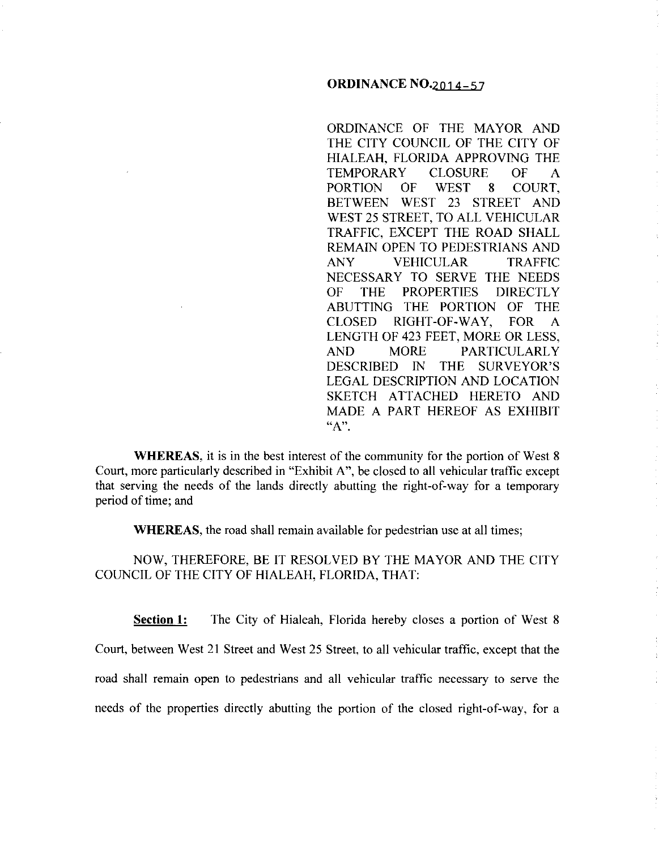## **ORDINANCE** N0.2014-57

ORDINANCE OF THE MAYOR AND THE CITY COUNCIL OF THE CITY OF HIALEAH, FLORIDA APPROVING THE TEMPORARY CLOSURE OF A PORTION OF WEST 8 COURT, BETWEEN WEST 23 STREET AND WEST 25 STREET, TO ALL VEHICULAR TRAFFIC, EXCEPT THE ROAD SHALL REMAIN OPEN TO PEDESTRIANS AND ANY VEHICULAR TRAFFIC NECESSARY TO SERVE THE NEEDS OF THE PROPERTIES DIRECTLY ABUTTING THE PORTION OF THE CLOSED RIGHT-OF-WAY, FOR A LENGTH OF 423 FEET, MORE OR LESS, AND MORE PARTICULARLY DESCRIBED IN THE SURVEYOR'S LEGAL DESCRIPTION AND LOCATION SKETCH ATTACHED HERETO AND MADE A PART HEREOF AS EXHIBIT **"A".** 

 $\bar{z}$ 

 $\mathbb{C}^{\times}$ 

 $\mathcal{L}^{\mathcal{L}}$ 

 $\frac{1}{2}$ 

 $\bar{1}$ 

**WHEREAS,** it is in the best interest of the community for the portion of West 8 Court, more particularly described in "Exhibit A", be closed to all vehicular traffic except that serving the needs of the lands directly abutting the right-of-way for a temporary period of time; and

**WHEREAS,** the road shall remain available for pedestrian use at all times;

NOW, THEREFORE, BE IT RESOLVED BY THE MAYOR AND THE CITY COUNCIL OF THE CITY OF HIALEAH, FLORIDA, THAT:

**Section 1:** The City of Hialeah, Florida hereby closes a portion of West 8 Court, between West 21 Street and West 25 Street, to all vehicular traffic, except that the road shall remain open to pedestrians and all vehicular traffic necessary to serve the needs of the properties directly abutting the portion of the closed right-of-way, for a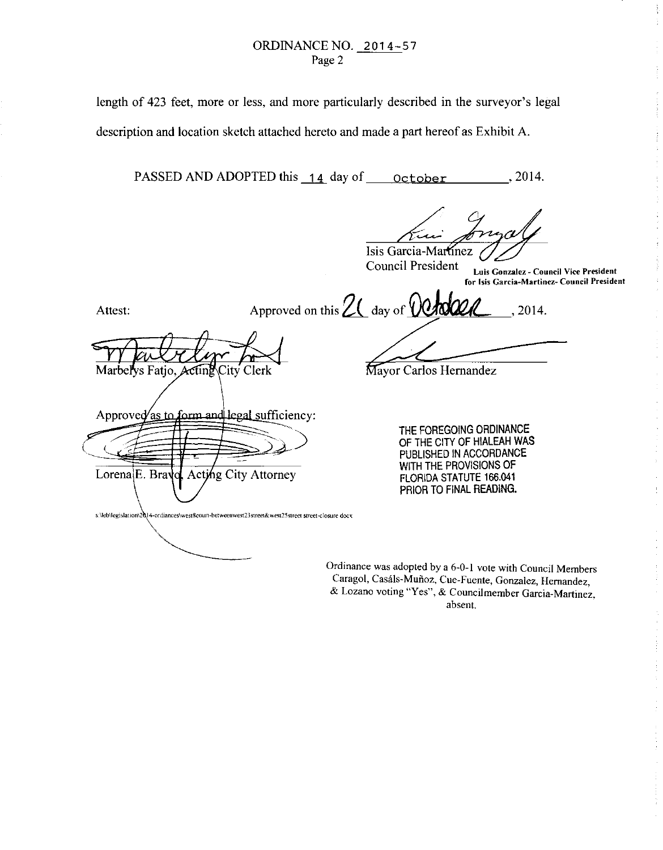## ORDINANCENO. 2014-57 Page 2

length of 423 feet, more or less, and more particularly described in the surveyor's legal description and location sketch attached hereto and made a part hereof as Exhibit A.

PASSED AND ADOPTED this 14 day of october , 2014.

Isis Garcia-Martinez

**Council President Luis Gonzalez- Council Vice President for Isis Garcia-Martinez- Council President**  ţ

Approved on this  $2\ell$  day of **Crocel**, 2014.  $\frac{1}{2}$ 

Marbellys Fatio. Actine City Clerk

Approved as to form and legal sufficiency:

Acting City Attorney

s \lebllegislat **ton\2** 14-ordianceslwest8coun-betweenwest23street& west25street street -closure docx

Attest:

Lorena<sup>E</sup>. Brav

Mayor Carlos Hernandez

THE FOREGOING ORDINANCE OF THE CITY OF HIALEAH WAS PUBLISHED IN ACCORDANCE WITH THE PROVISIONS OF FLORIDA STATUTE 166.041 PRIOR TO FINAL READING.

Ordinance was adopted by a 6-0-1 vote with Council Members Caragol, Casáls-Muñoz, Cue-Fuente, Gonzalez, Hernandez, & **Lozano voting "Yes", & Councilmember Garcia-Martinez absent.** '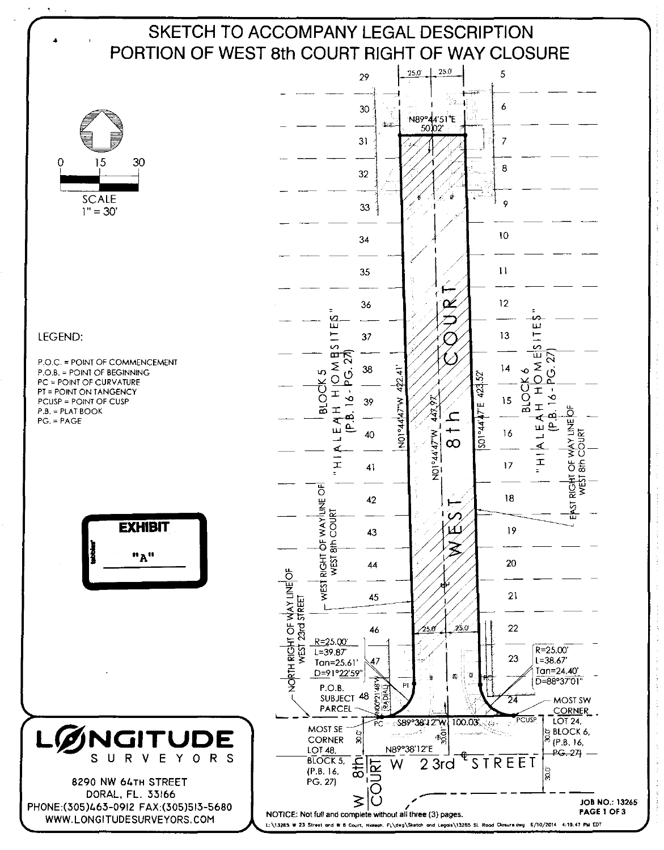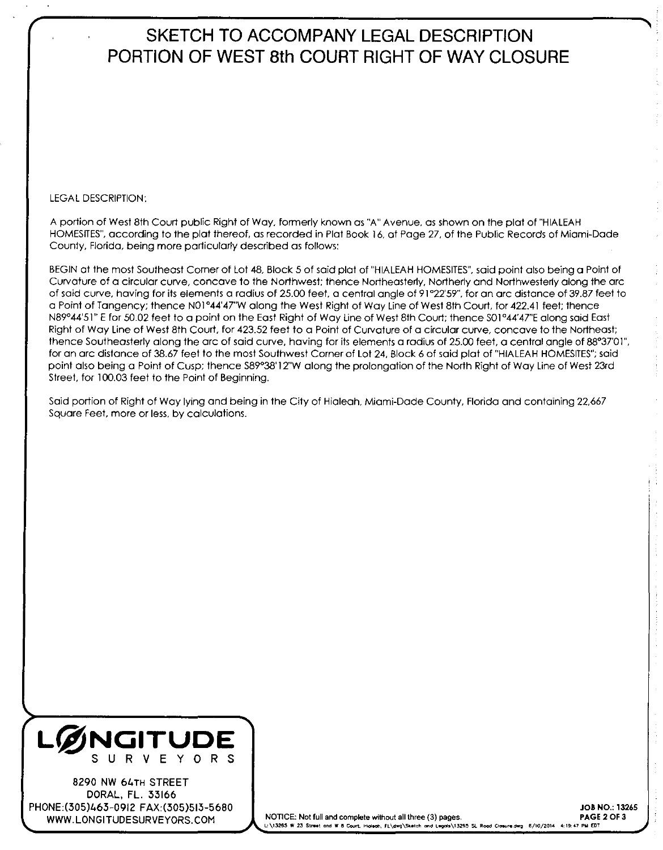# **SKETCH TO ACCOMPANY LEGAL DESCRIPTION PORTION OF WEST 8th COURT RIGHT OF WAY CLOSURE**

### LEGAL DESCRIPTION:

A portion of West 8th Court public Right of Way, formerly known as "A" Avenue. as shown on the plat of "HIALEAH HOMESITE\$", according to the plat thereof, as recorded in Plat Book 16, at Page 27. of the Public Records of Miami-Dade County, Florida, being more particularly described as follows:

BEGIN at the most Southeast Corner of Lot 48, Block 5 of said plat of "HIALEAH HOMESITE\$", said point also being a Point of Curvature of a circular curve, concave to the Northwest: thence Northeasterly, Northerly and Northwesterly along the arc of said curve, having for its elements a radius of 25.00 feet. a central angle of 91°22'59", for an arc distance of 39.87 feet to a Point of Tangency: thence N01°44'47"W along the West Right of Way Line of West 8th Court, for 422.41 feet; thence N89°44'51" E for 50.02 feet to a point on the East Right of Way Line of West 8th Court; thence S01°44'47"E along said East Right of Way Line of West 8th Court. for 423.52 feet to a Point of Curvature of a circular curve. concave to the Northeast; thence Southeasterly along the arc of said curve, having for its elements a radius of 25.00 feet, a central angle of 88°37'01", for an arc distance of 38.67 feet to the most Southwest Corner of Lot 24, Block 6 of said plat of "HIALEAH HOMESITE\$"; said point also being a Point of Cusp; thence S89°38' 12"W along the prolongation of the North Right of Way Line of West 23rd Street, for 100.03 feet to the Point of Beginning.

Said portion of Right of Way lying and being in the City of Hialeah. Miami-Dade County, Florida and containing 22,667 Square Feet, more or less. by calculations.



8290 NW 64TH STREET DORAL, FL. 33166 PHONE:(305)463-0912 FAX:(305)513-5680